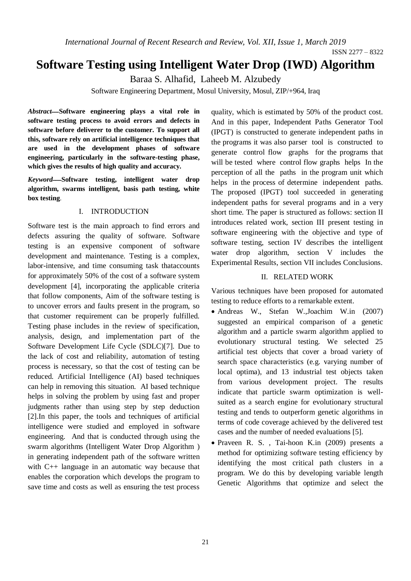*International Journal of Recent Research and Review, Vol. XII, Issue 1, March 2019*

# **Software Testing using Intelligent Water Drop (IWD) Algorithm**

Baraa S. Alhafid, Laheeb M. Alzubedy

Software Engineering Department, Mosul University, Mosul, ZIP/+964, Iraq

*Abstract*ـــــ**Software engineering plays a vital role in software testing process to avoid errors and defects in software before deliverer to the customer. To support all this, software rely on artificial intelligence techniques that are used in the development phases of software engineering, particularly in the software-testing phase, which gives the results of high quality and accuracy.**

*Keyword*ــــــ**Software testing, intelligent water drop algorithm, swarms intelligent, basis path testing, white box testing**.

#### I. INTRODUCTION

Software test is the main approach to find errors and defects assuring the quality of software. Software testing is an expensive component of software development and maintenance. Testing is a complex, labor-intensive, and time consuming task thataccounts for approximately 50% of the cost of a software system development [4], incorporating the applicable criteria that follow components, Aim of the software testing is to uncover errors and faults present in the program, so that customer requirement can be properly fulfilled. Testing phase includes in the review of specification, analysis, design, and implementation part of the Software Development Life Cycle (SDLC)[7]. Due to the lack of cost and reliability, automation of testing process is necessary, so that the cost of testing can be reduced. Artificial Intelligence (AI) based techniques can help in removing this situation. AI based technique helps in solving the problem by using fast and proper judgments rather than using step by step deduction [2].In this paper, the tools and techniques of artificial intelligence were studied and employed in software engineering. And that is conducted through using the swarm algorithms (Intelligent Water Drop Algorithm ) in generating independent path of the software written with C<sub>++</sub> language in an automatic way because that enables the corporation which develops the program to save time and costs as well as ensuring the test process quality, which is estimated by 50% of the product cost. And in this paper, Independent Paths Generator Tool (IPGT) is constructed to generate independent paths in the programs it was also parser tool is constructed to generate control flow graphs for the programs that will be tested where control flow graphs helps In the perception of all the paths in the program unit which helps in the process of determine independent paths. The proposed (IPGT) tool succeeded in generating independent paths for several programs and in a very short time. The paper is structured as follows: section II introduces related work, section III present testing in software engineering with the objective and type of software testing, section IV describes the intelligent water drop algorithm, section V includes the Experimental Results, section VII includes Conclusions.

# II. RELATED WORK

Various techniques have been proposed for automated testing to reduce efforts to a remarkable extent.

- Andreas W., Stefan W.,Joachim W.in (2007) suggested an empirical comparison of a genetic algorithm and a particle swarm algorithm applied to evolutionary structural testing. We selected 25 artificial test objects that cover a broad variety of search space characteristics (e.g. varying number of local optima), and 13 industrial test objects taken from various development project. The results indicate that particle swarm optimization is wellsuited as a search engine for evolutionary structural testing and tends to outperform genetic algorithms in terms of code coverage achieved by the delivered test cases and the number of needed evaluations [5].
- Praveen R. S. , Tai-hoon K.in (2009) presents a method for optimizing software testing efficiency by identifying the most critical path clusters in a program. We do this by developing variable length Genetic Algorithms that optimize and select the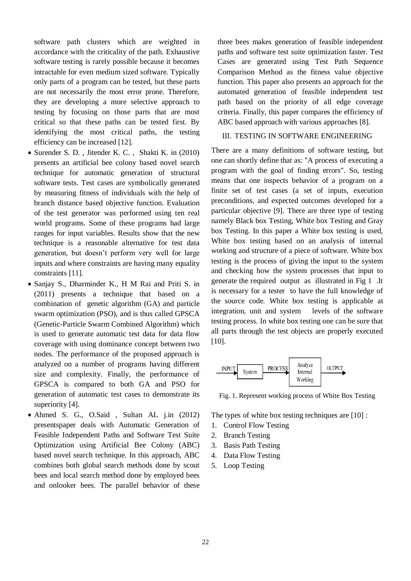software path clusters which are weighted in accordance with the criticality of the path. Exhaustive software testing is rarely possible because it becomes intractable for even medium sized software. Typically only parts of a program can be tested, but these parts are not necessarily the most error prone. Therefore, they are developing a more selective approach to testing by focusing on those parts that are most critical so that these paths can be tested first. By identifying the most critical paths, the testing efficiency can be increased [12].

- Surender S. D., Jitender K. C., Shakti K. in (2010) presents an artificial bee colony based novel search technique for automatic generation of structural software tests. Test cases are symbolically generated by measuring fitness of individuals with the help of branch distance based objective function. Evaluation of the test generator was performed using ten real world programs. Some of these programs had large ranges for input variables. Results show that the new technique is a reasonable alternative for test data generation, but doesn't perform very well for large inputs and where constraints are having many equality constraints [11].
- Sanjay S., Dharminder K., H M Rai and Priti S. in (2011) presents a technique that based on a combination of genetic algorithm (GA) and particle swarm optimization (PSO), and is thus called GPSCA (Genetic-Particle Swarm Combined Algorithm) which is used to generate automatic test data for data flow coverage with using dominance concept between two nodes. The performance of the proposed approach is analyzed on a number of programs having different size and complexity. Finally, the performance of GPSCA is compared to both GA and PSO for generation of automatic test cases to demonstrate its superiority [4].
- Ahmed S. G., O.Said , Sultan AL j.in (2012) presentspaper deals with Automatic Generation of Feasible Independent Paths and Software Test Suite Optimization using Artificial Bee Colony (ABC) based novel search technique. In this approach, ABC combines both global search methods done by scout bees and local search method done by employed bees and onlooker bees. The parallel behavior of these

three bees makes generation of feasible independent paths and software test suite optimization faster. Test Cases are generated using Test Path Sequence Comparison Method as the fitness value objective function. This paper also presents an approach for the automated generation of feasible independent test path based on the priority of all edge coverage criteria. Finally, this paper compares the efficiency of ABC based approach with various approaches [8].

#### III. TESTING IN SOFTWARE ENGINEERING

There are a many definitions of software testing, but one can shortly define that as: "A process of executing a program with the goal of finding errors". So, testing means that one inspects behavior of a program on a finite set of test cases (a set of inputs, execution preconditions, and expected outcomes developed for a particular objective [9]. There are three type of testing namely Black box Testing, White box Testing and Gray box Testing. In this paper a White box testing is used, White box testing based on an analysis of internal working and structure of a piece of software. White box testing is the process of giving the input to the system and checking how the system processes that input to generate the required output as illustrated in Fig 1 .It is necessary for a tester to have the full knowledge of the source code. White box testing is applicable at integration, unit and system levels of the software testing process. In white box testing one can be sure that all parts through the test objects are properly executed [10].



Fig. 1. Represent working process of White Box Testing

The types of white box testing techniques are [10] :

- 1. Control Flow Testing
- 2. Branch Testing
- 3. Basis Path Testing
- 4. Data Flow Testing
- 5. Loop Testing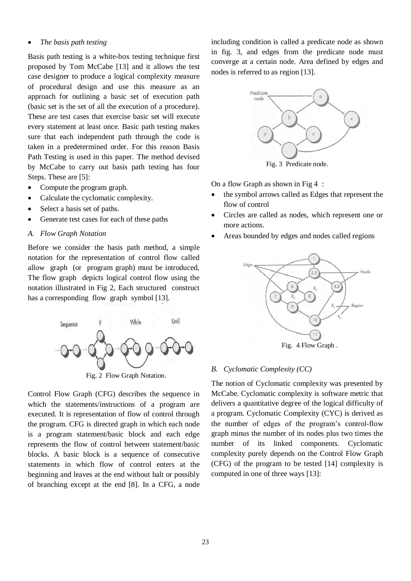#### *The basis path testing*

Basis path testing is a white-box testing technique first proposed by Tom McCabe [13] and it allows the test case designer to produce a logical complexity measure of procedural design and use this measure as an approach for outlining a basic set of execution path (basic set is the set of all the execution of a procedure). These are test cases that exercise basic set will execute every statement at least once. Basic path testing makes sure that each independent path through the code is taken in a predetermined order. For this reason Basis Path Testing is used in this paper. The method devised by McCabe to carry out basis path testing has four Steps. These are [5]:

- Compute the program graph.
- Calculate the cyclomatic complexity.
- Select a basis set of paths.
- Generate test cases for each of these paths
- *A. Flow Graph Notation*

Before we consider the basis path method, a simple notation for the representation of control flow called allow graph (or program graph) must be introduced, The flow graph depicts logical control flow using the notation illustrated in Fig 2, Each structured construct has a corresponding flow graph symbol [13].



Fig. 2 Flow Graph Notation.

Control Flow Graph (CFG) describes the sequence in which the statements/instructions of a program are executed. It is representation of flow of control through the program. CFG is directed graph in which each node is a program statement/basic block and each edge represents the flow of control between statement/basic blocks. A basic block is a sequence of consecutive statements in which flow of control enters at the beginning and leaves at the end without halt or possibly of branching except at the end [8]. In a CFG, a node

including condition is called a predicate node as shown in fig. 3, and edges from the predicate node must converge at a certain node. Area defined by edges and nodes is referred to as region [13].



On a flow Graph as shown in Fig 4 :

- the symbol arrows called as Edges that represent the flow of control
- Circles are called as nodes, which represent one or more actions.
- Areas bounded by edges and nodes called regions



#### *B. Cyclomatic Complexity (CC)*

The notion of Cyclomatic complexity was presented by McCabe. Cyclomatic complexity is software metric that delivers a quantitative degree of the logical difficulty of a program. Cyclomatic Complexity (CYC) is derived as the number of edges of the program's control-flow graph minus the number of its nodes plus two times the number of its linked components. Cyclomatic complexity purely depends on the Control Flow Graph (CFG) of the program to be tested [14] complexity is computed in one of three ways [13]: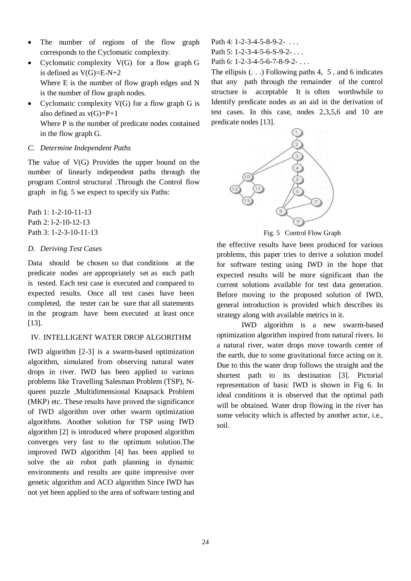- The number of regions of the flow graph corresponds to the Cyclomatic complexity.
- Cyclomatic complexity  $V(G)$  for a flow graph G is defined as  $V(G)=E-N+2$ Where E is the number of flow graph edges and N is the number of flow graph nodes.
- Cyclomatic complexity  $V(G)$  for a flow graph G is also defined as  $v(G)=P+1$ Where P is the number of predicate nodes contained

in the flow graph G.

#### *C. Determine Independent Paths*

The value of V(G) Provides the upper bound on the number of linearly independent paths through the program Control structural .Through the Control flow graph in fig. 5 we expect to specify six Paths:

Path 1: 1-2-10-11-13 Path 2: l-2-10-12-13 Path 3: 1-2-3-10-11-13

# *D. Deriving Test Cases*

Data should be chosen so that conditions at the predicate nodes are appropriately set as each path is tested. Each test case is executed and compared to expected results. Once all test cases have been completed, the tester can be sure that all statements in the program have been executed at least once [13].

# IV. INTELLIGENT WATER DROP ALGORITHM

IWD algorithm [2-3] is a swarm-based optimization algorithm, simulated from observing natural water drops in river. IWD has been applied to various problems like Travelling Salesman Problem (TSP), Nqueen puzzle ,Multidimensional Knapsack Problem  $(MKP)$  etc. These results have proved the significance of IWD algorithm over other swarm optimization algorithms. Another solution for TSP using IWD algorithm [2] is introduced where proposed algorithm converges very fast to the optimum solution.The improved IWD algorithm [4] has been applied to solve the air robot path planning in dynamic environments and results are quite impressive over genetic algorithm and ACO algorithm Since IWD has not yet been applied to the area of software testing and

Path 4: 1-2-3-4-5-8-9-2- . . . Path 5: 1-2-3-4-5-6-S-9-2- . . .

Path 6: 1-2-3-4-5-6-7-8-9-2- . . .

The ellipsis  $( \ldots )$  Following paths 4, 5, and 6 indicates that any path through the remainder of the control structure is acceptable It is often worthwhile to Identify predicate nodes as an aid in the derivation of test cases. In this case, nodes 2,3,5,6 and 10 are predicate nodes [13].



Fig. 5 Control Flow Graph

the effective results have been produced for various problems, this paper tries to derive a solution model for software testing using IWD in the hope that expected results will be more significant than the current solutions available for test data generation. Before moving to the proposed solution of IWD, general introduction is provided which describes its strategy along with available metrics in it.

IWD algorithm is a new swarm-based optimization algorithm inspired from natural rivers. In a natural river, water drops move towards center of the earth, due to some gravitational force acting on it. Due to this the water drop follows the straight and the shortest path to its destination [3]. Pictorial representation of basic IWD is shown in Fig 6. In ideal conditions it is observed that the optimal path will be obtained. Water drop flowing in the river has some velocity which is affected by another actor, i.e., soil.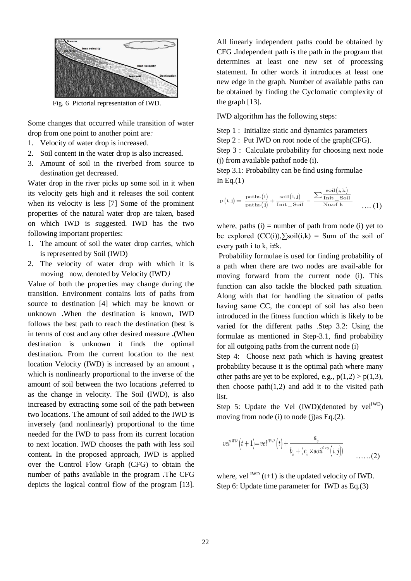

Fig. 6 Pictorial representation of IWD.

Some changes that occurred while transition of water drop from one point to another point are:

- 1. Velocity of water drop is increased.
- 2. Soil content in the water drop is also increased.
- 3. Amount of soil in the riverbed from source to destination get decreased.

Water drop in the river picks up some soil in it when its velocity gets high and it releases the soil content when its velocity is less [7] Some of the prominent properties of the natural water drop are taken, based on which IWD is suggested. IWD has the two following important properties:

- 1. The amount of soil the water drop carries, which is represented by Soil (IWD)
- 2. The velocity of water drop with which it is moving now, denoted by Velocity (IWD)

Value of both the properties may change during the transition. Environment contains lots of paths from source to destination [4] which may be known or unknown **.**When the destination is known, IWD follows the best path to reach the destination (best is in terms of cost and any other desired measure **.)**When destination is unknown it finds the optimal destination**.** From the current location to the next location Velocity (IWD) is increased by an amount **,** which is nonlinearly proportional to the inverse of the amount of soil between the two locations **,**referred to as the change in velocity. The Soil (IWD), is also increased by extracting some soil of the path between two locations. The amount of soil added to the IWD is inversely (and nonlinearly) proportional to the time needed for the IWD to pass from its current location to next location. IWD chooses the path with less soil content**.** In the proposed approach, IWD is applied over the Control Flow Graph (CFG) to obtain the number of paths available in the program **.**The CFG depicts the logical control flow of the program [13].

All linearly independent paths could be obtained by CFG **.**Independent path is the path in the program that determines at least one new set of processing statement. In other words it introduces at least one new edge in the graph. Number of available paths can be obtained by finding the Cyclomatic complexity of the graph [13].

IWD algorithm has the following steps:

Step 1 : Initialize static and dynamics parameters

Step 2 : Put IWD on root node of the graph(CFG).

Step 3 : Calculate probability for choosing next node (j) from available pathof node (i).

Step 3.1: Probability can be find using formulae In Eq. $(1)$ 

$$
p(i,j) = \frac{\text{paths}(i)}{\text{paths}(j)} + \frac{\text{soil}(i,j)}{\text{Init\_Soil}} - \frac{\sum \frac{\text{soil}(i,k)}{\text{Init\_Soil}}}{\text{Noof } k} \quad \dots (1)
$$

where, paths  $(i)$  = number of path from node  $(i)$  yet to be explored  $(CC(i))$ , $\sum$ soil $(i,k)$  = Sum of the soil of every path i to k,  $i \neq k$ .

Probability formulae is used for finding probability of a path when there are two nodes are avail-able for moving forward from the current node (i). This function can also tackle the blocked path situation. Along with that for handling the situation of paths having same CC, the concept of soil has also been introduced in the fitness function which is likely to be varied for the different paths .Step 3.2: Using the formulae as mentioned in Step-3.1, find probability for all outgoing paths from the current node (i)

Step 4: Choose next path which is having greatest probability because it is the optimal path where many other paths are yet to be explored, e.g.,  $p(1,2) > p(1,3)$ , then choose  $path(1,2)$  and add it to the visited path list.

Step 5: Update the Vel  $(IWD)(denoted by vel<sup>IWD</sup>)$ moving from node (i) to node (j)as Eq.(2).

$$
vel^{IWD}(t+1)=vel^{IWD}(t)+\frac{a_v}{b_v+(c_v\times soil^{2\times\alpha}(i,j))}
$$
 ....(2)

where, vel  $^{IWD}$  (t+1) is the updated velocity of IWD. Step 6: Update time parameter for IWD as Eq.(3)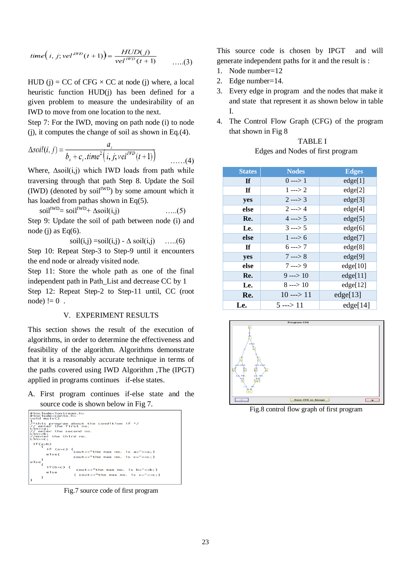time
$$
(i, j; vel^{IWD}(t+1)) = \frac{HUD(j)}{vel^{IWD}(t+1)}
$$
 ....(3)

HUD (j) = CC of CFG  $\times$  CC at node (j) where, a local heuristic function HUD(j) has been defined for a given problem to measure the undesirability of an IWD to move from one location to the next.

Step 7: For the IWD, moving on path node (i) to node  $(i)$ , it computes the change of soil as shown in Eq. $(4)$ .

$$
\Delta soil(i, j) = \frac{a_s}{b_s + c_s \cdot time^2(i, j; vel^{IWD}(t+1))}
$$
 ....(4)

Where,  $\Delta$ soil(i,j) which IWD loads from path while traversing through that path Step 8. Update the Soil  $(IWD)$  (denoted by soil<sup>IWD</sup>) by some amount which it has loaded from pathas shown in Eq(5).

 $\text{soil}^{\text{IWD}} = \text{soil}^{\text{IWD}} + \Delta \text{soil}(i,j)$  …..(5)

Step 9: Update the soil of path between node (i) and node (j) as  $Eq(6)$ .

soil $(i,j)$  =soil $(i,j)$  -  $\Delta$  soil $(i,j)$  …...(6)

Step 10: Repeat Step-3 to Step-9 until it encounters the end node or already visited node.

Step 11: Store the whole path as one of the final independent path in Path\_List and decrease CC by 1 Step 12: Repeat Step-2 to Step-11 until, CC (root node)  $!= 0$ .

#### V. EXPERIMENT RESULTS

This section shows the result of the execution of algorithms, in order to determine the effectiveness and feasibility of the algorithm. Algorithms demonstrate that it is a reasonably accurate technique in terms of the paths covered using IWD Algorithm ,The (IPGT) applied in programs continues if-else states.

A. First program continues if-else state and the source code is shown below in Fig 7.



Fig.7 source code of first program

This source code is chosen by IPGT and will generate independent paths for it and the result is :

- 1. Node number=12
- 2. Edge number=14.
- 3. Every edge in program and the nodes that make it and state that represent it as shown below in table I.
- 4. The Control Flow Graph (CFG) of the program that shown in Fig 8

| <b>TABLE I</b>                   |
|----------------------------------|
| Edges and Nodes of first program |

| <b>States</b> | <b>Nodes</b>        | <b>Edges</b> |
|---------------|---------------------|--------------|
| <b>If</b>     | $0 \rightarrow 1$   | edge[1]      |
| <b>If</b>     | $1 \rightarrow 2$   | edge[2]      |
| yes           | $2 \rightarrow 3$   | edge[3]      |
| else          | $2 \leftarrow > 4$  | edge[4]      |
| Re.           | $4 \leftarrow 5$    | edge[5]      |
| Le.           | $3 \rightarrow 5$   | edge[6]      |
| else          | $1 -- > 6$          | edge[7]      |
| <b>If</b>     | $6 \rightarrow 7$   | edge[8]      |
| yes           | $7 \rightarrow 8$   | edge[9]      |
| else          | $7 \rightarrow 9$   | edge[10]     |
| Re.           | $9 \rightarrow 10$  | edge[11]     |
| Le.           | $8 \rightarrow 10$  | edge[12]     |
| Re.           | $10 \rightarrow 11$ | edge[13]     |
| Le.           | $5 \rightarrow 11$  | edge[14]     |



Fig.8 control flow graph of first program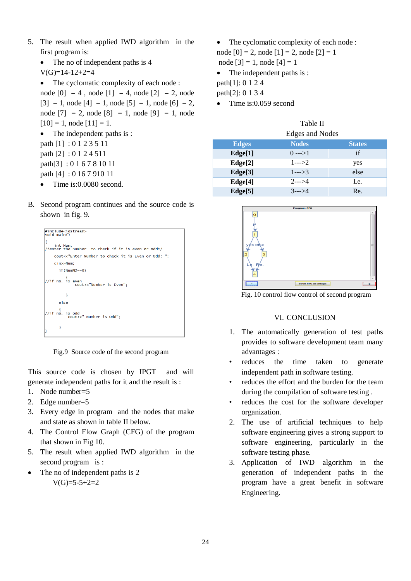- 5. The result when applied IWD algorithm in the first program is:
	- The no of independent paths is 4

 $V(G)=14-12+2=4$ 

• The cyclomatic complexity of each node :

node  $[0] = 4$ , node  $[1] = 4$ , node  $[2] = 2$ , node  $[3] = 1$ , node  $[4] = 1$ , node  $[5] = 1$ , node  $[6] = 2$ , node  $[7] = 2$ , node  $[8] = 1$ , node  $[9] = 1$ , node  $[10] = 1$ , node  $[11] = 1$ . • The independent paths is : path [1] : 0 1 2 3 5 11 path [2] : 0 1 2 4 511 path[3] : 0 1 6 7 8 10 11 path [4] : 0 16 7 910 11 • Time is:0.0080 second.

B. Second program continues and the source code is shown in fig. 9.



Fig.9 Source code of the second program

This source code is chosen by IPGT and will generate independent paths for it and the result is :

- 1. Node number=5
- 2. Edge number=5
- 3. Every edge in program and the nodes that make and state as shown in table II below.
- 4. The Control Flow Graph (CFG) of the program that shown in Fig 10.
- 5. The result when applied IWD algorithm in the second program is :
- The no of independent paths is 2  $V(G)=5-5+2=2$

The cyclomatic complexity of each node :

node  $[0] = 2$ , node  $[1] = 2$ , node  $[2] = 1$ 

node  $[3] = 1$ , node  $[4] = 1$ 

• The independent paths is :

path[1]: 0 1 2 4

- path[2]: 0 1 3 4
- $\bullet$  Time is: 0.059 second

| Table II                   |  |
|----------------------------|--|
| $Ed$ ass and $N_{\alpha}d$ |  |

| Edges and Nodes |              |               |  |
|-----------------|--------------|---------------|--|
| <b>Edges</b>    | <b>Nodes</b> | <b>States</b> |  |
| Edge[1]         | $0$ --->1    | if            |  |
| Edge[2]         | $1-->2$      | yes           |  |
| Edge[3]         | $1--3$       | else          |  |
| Edge[4]         | $2-->4$      | Le.           |  |
| Edge[5]         | $3-->4$      | Re.           |  |



Fig. 10 control flow control of second program

#### VI. CONCLUSION

- 1. The automatically generation of test paths provides to software development team many advantages :
- reduces the time taken to generate independent path in software testing.
- reduces the effort and the burden for the team during the compilation of software testing .
- reduces the cost for the software developer organization.
- 2. The use of artificial techniques to help software engineering gives a strong support to software engineering, particularly in the software testing phase.
- 3. Application of IWD algorithm in the generation of independent paths in the program have a great benefit in software Engineering.